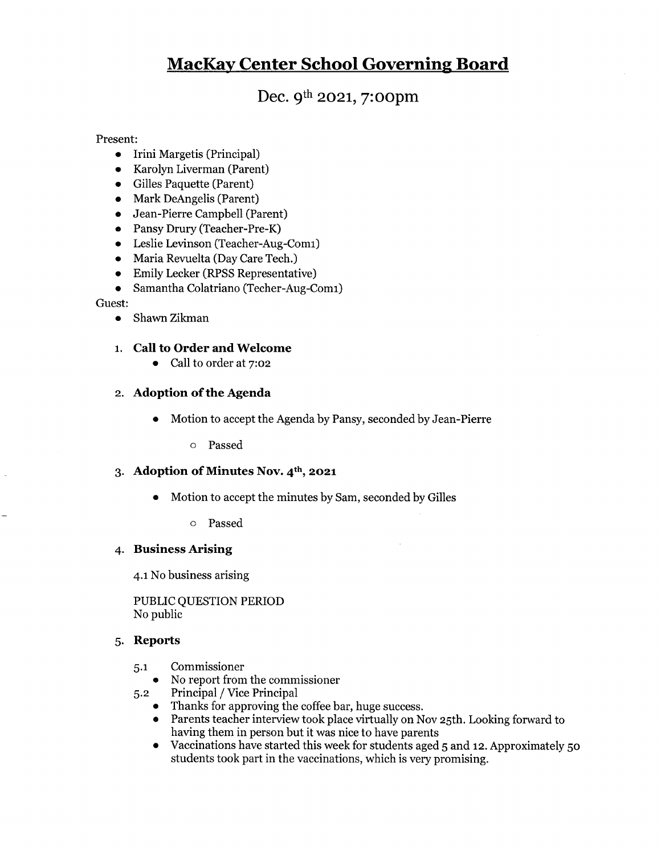# MacKav Center School Governine Board

Dec. 9<sup>th</sup> 2021, 7:00pm

Present:

- Irini Margetis (Principal)
- Karolyn Liverman (Parent)  $\bullet$
- Gilles Paquette (Parent)
- Mark DeAngelis (Parent)
- Jean-Pierre Campbell (Parent)
- Pansy Drury (Teacher-Pre-K)
- Leslie Levinson (Teacher-Aug-Comi)
- Maria Revuelta (Day Care Tech.)
- Emily Lecker (RPSS Representative)
- Samantha Colatriano (Techer-Aug-Comi)  $\bullet$

#### Guest:

• Shawn Zikman

# 1. Call to Order and Welcome

• Call to order at 7:02

# 2. Adoption of the Agenda

• Motion to accept the Agenda by Pansy, seconded by Jean-Pierre

o Passed

## 3. Adoption of Minutes Nov. 4<sup>th</sup>, 2021

- Motion to accept the minutes by Sam, seconded by Gilles
	- o Passed

#### 4. Business Arising

4.1 No business arising

PUBLIC QUESTION PERIOD No public

#### 5. Reports

- 5.1 Commissioner
	- No report from the commissioner
- 5.2 Principal / Vice Principal
	- Thanks for approving the coffee bar, huge success.
	- 9 Parents teacher interview took place virtually on Nov 25th. Looking forward to having them in person but it was nice to have parents
	- Vaccinations have started this week for students aged <sup>5</sup> and 12. Approximately 50  $\bullet$ students took part in the vaccinations, which is very promising.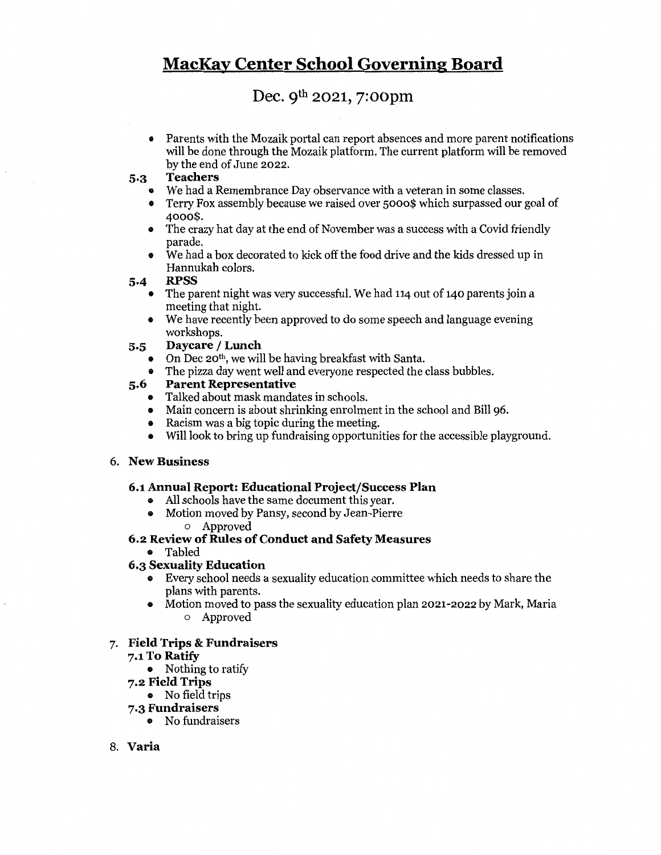# MacKav Center School Governins Board

# Dec. 9th 2021, 7:oopm

• Parents with the Mozaik portal can report absences and more parent notifications will be done through the Mozaik platform. The current platform will be removed by the end of June 2022.

# 5.3 Teachers

- We had a Remembrance Day observance with a veteran in some classes.
- a Terry Fox assembly because we raised over 5000\$ which surpassed our goal of 4000\$.
- » The crazy hat day at the end of November was <sup>a</sup> success with <sup>a</sup> Covid friendly parade.
- We had a box decorated to kick off the food drive and the kids dressed up in Hannukah colors.

#### 5.4 RPSS

- The parent night was very successful. We had 114 out of 140 parents join a meeting that night.
- We have recently been approved to do some speech and language evening workshops.

# 5.5 Daycare / Lunch

- On Dec 20th, we will be having breakfast with Santa.
- The pizza day went well and everyone respected the class bubbles.

# 5.6 Parent Representative

- **Talked about mask mandates in schools.**
- Main concern is about shrinking enrolment in the school and Bill 96.
- Racism was a big topic during the meeting.
- Will look to bring up fundraising opportunities for the accessible playground.

#### 6. New Business

#### 6.1 Annual Report: Educational Project/Success Plan

- All schools have the same document this year.<br>• Motion moved by Pansy, second by Jean-Pierr
	- a Motion moved by Pansy, second by Jean-Pierre
		- o Approved

# 6.2 Review of Rules of Conduct and Safety Measures

® Tabled

#### 6.3 Sexuality Education

- ® Every school needs <sup>a</sup> sexuality education committee which needs to share the plans with parents.
- Motion moved to pass the sexuality education plan 2021-2022 by Mark, Maria o Approved

# 7. Field Trips & Fundraisers

#### 7.1 To Ratify

- ® Nothing to ratify
- 7.2 Field Trîps
	- ® No field trips
- 7.3 Fundraisers
	- No fundraisers
- 8. Varia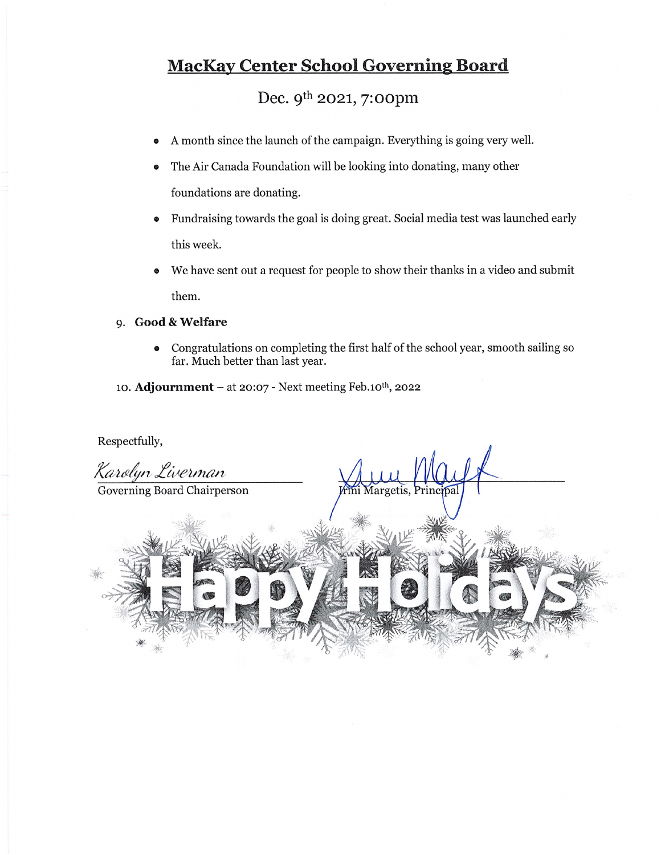# **MacKay Center School Governing Board**

Dec. 9<sup>th</sup> 2021, 7:00pm

- <sup>A</sup> month since the launch of the campaign. Everything is going very well.
- The Air Canada Foundation will be looking into donating, many other foundations are donating.
- Fundraising towards the goal is doing great. Social media test was launched early this week.
- We have sent out a request for people to show their thanks in a video and submit them.

# 9. Good & Welfare

- Congratulations on completing the first half of the school year, smooth sailing so far. Much better than last year.
- 10. Adjournment at 20:07 Next meeting Feb.10<sup>th</sup>, 2022

Respectfully,

Karolyn Liverman Governing Board Chairperson Aargetis, Princ -•%